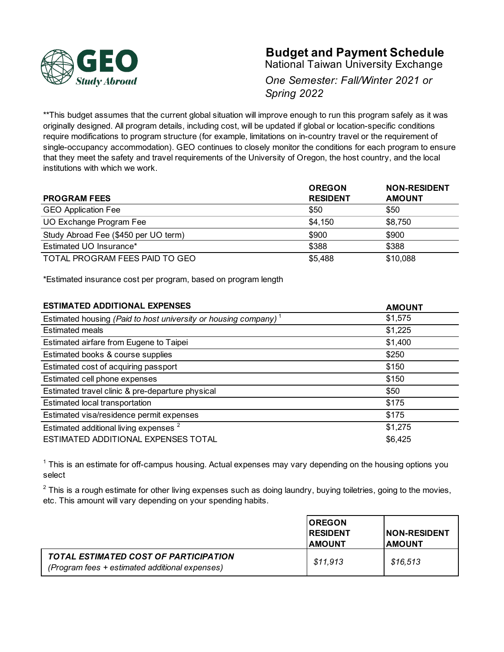

# **Budget and Payment Schedule**

National Taiwan University Exchange

*One Semester: Fall/Winter 2021 or Spring 2022*

\*\*This budget assumes that the current global situation will improve enough to run this program safely as it was originally designed. All program details, including cost, will be updated if global or location-specific conditions require modifications to program structure (for example, limitations on in-country travel or the requirement of single-occupancy accommodation). GEO continues to closely monitor the conditions for each program to ensure that they meet the safety and travel requirements of the University of Oregon, the host country, and the local institutions with which we work.

|                                      | <b>OREGON</b>   | <b>NON-RESIDENT</b> |
|--------------------------------------|-----------------|---------------------|
| <b>PROGRAM FEES</b>                  | <b>RESIDENT</b> | <b>AMOUNT</b>       |
| <b>GEO Application Fee</b>           | \$50            | \$50                |
| UO Exchange Program Fee              | \$4,150         | \$8,750             |
| Study Abroad Fee (\$450 per UO term) | \$900           | \$900               |
| Estimated UO Insurance*              | \$388           | \$388               |
| TOTAL PROGRAM FEES PAID TO GEO       | \$5,488         | \$10,088            |

\*Estimated insurance cost per program, based on program length

| <b>ESTIMATED ADDITIONAL EXPENSES</b>                                        | <b>AMOUNT</b> |
|-----------------------------------------------------------------------------|---------------|
| Estimated housing (Paid to host university or housing company) <sup>1</sup> | \$1,575       |
| <b>Estimated meals</b>                                                      | \$1,225       |
| Estimated airfare from Eugene to Taipei                                     | \$1,400       |
| Estimated books & course supplies                                           | \$250         |
| Estimated cost of acquiring passport                                        | \$150         |
| Estimated cell phone expenses                                               | \$150         |
| Estimated travel clinic & pre-departure physical                            | \$50          |
| Estimated local transportation                                              | \$175         |
| Estimated visa/residence permit expenses                                    | \$175         |
| Estimated additional living expenses <sup>2</sup>                           | \$1,275       |
| ESTIMATED ADDITIONAL EXPENSES TOTAL                                         | \$6,425       |

 $1$  This is an estimate for off-campus housing. Actual expenses may vary depending on the housing options you select

 $2$  This is a rough estimate for other living expenses such as doing laundry, buying toiletries, going to the movies, etc. This amount will vary depending on your spending habits.

|                                                                                                | <b>IOREGON</b><br><b>IRESIDENT</b><br><b>IAMOUNT</b> | <b>INON-RESIDENT</b><br><b>IAMOUNT</b> |
|------------------------------------------------------------------------------------------------|------------------------------------------------------|----------------------------------------|
| <b>TOTAL ESTIMATED COST OF PARTICIPATION</b><br>(Program fees + estimated additional expenses) | \$11,913                                             | \$16,513                               |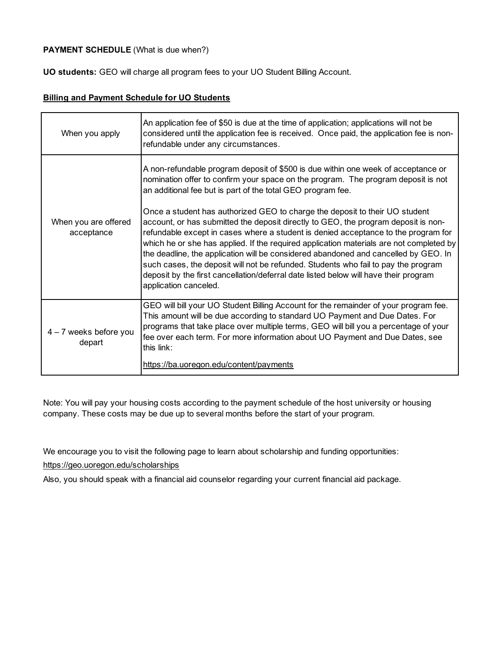# **PAYMENT SCHEDULE** (What is due when?)

**UO students:** GEO will charge all program fees to your UO Student Billing Account.

#### **Billing and Payment Schedule for UO Students**

| When you apply                     | An application fee of \$50 is due at the time of application; applications will not be<br>considered until the application fee is received. Once paid, the application fee is non-<br>refundable under any circumstances.                                                                                                                                                                                                                                                                                                                                                                                                                        |
|------------------------------------|--------------------------------------------------------------------------------------------------------------------------------------------------------------------------------------------------------------------------------------------------------------------------------------------------------------------------------------------------------------------------------------------------------------------------------------------------------------------------------------------------------------------------------------------------------------------------------------------------------------------------------------------------|
| When you are offered<br>acceptance | A non-refundable program deposit of \$500 is due within one week of acceptance or<br>nomination offer to confirm your space on the program. The program deposit is not<br>an additional fee but is part of the total GEO program fee.                                                                                                                                                                                                                                                                                                                                                                                                            |
|                                    | Once a student has authorized GEO to charge the deposit to their UO student<br>account, or has submitted the deposit directly to GEO, the program deposit is non-<br>refundable except in cases where a student is denied acceptance to the program for<br>which he or she has applied. If the required application materials are not completed by<br>the deadline, the application will be considered abandoned and cancelled by GEO. In<br>such cases, the deposit will not be refunded. Students who fail to pay the program<br>deposit by the first cancellation/deferral date listed below will have their program<br>application canceled. |
| 4 - 7 weeks before you<br>depart   | GEO will bill your UO Student Billing Account for the remainder of your program fee.<br>This amount will be due according to standard UO Payment and Due Dates. For<br>programs that take place over multiple terms, GEO will bill you a percentage of your<br>fee over each term. For more information about UO Payment and Due Dates, see<br>this link:<br>https://ba.uoregon.edu/content/payments                                                                                                                                                                                                                                             |

Note: You will pay your housing costs according to the payment schedule of the host university or housing company. These costs may be due up to several months before the start of your program.

We encourage you to visit the following page to learn about scholarship and funding opportunities:

## https://geo.uoregon.edu/scholarships

Also, you should speak with a financial aid counselor regarding your current financial aid package.